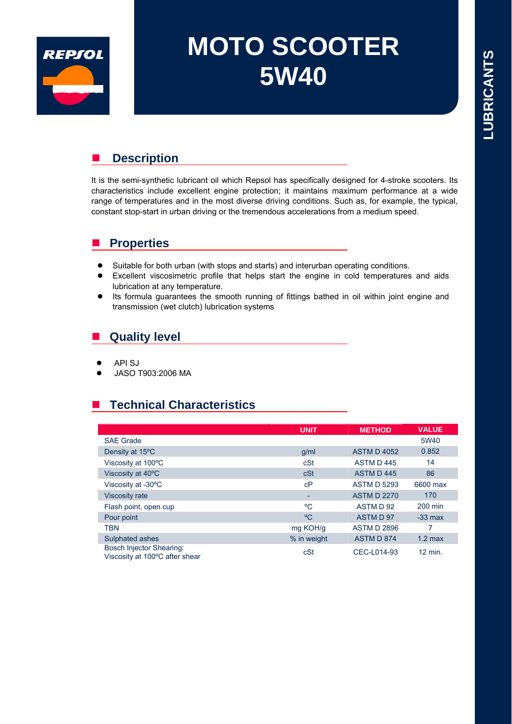

# **MOTO SCOOTER 5W40**

## **Description**

It is the semi-synthetic lubricant oil which Repsol has specifically designed for 4-stroke scooters. Its characteristics include excellent engine protection; it maintains maximum performance at a wide range of temperatures and in the most diverse driving conditions. Such as, for example, the typical, constant stop-start in urban driving or the tremendous accelerations from a medium speed.

## **Properties**

- Suitable for both urban (with stops and starts) and interurban operating conditions.
- Excellent viscosimetric profile that helps start the engine in cold temperatures and aids lubrication at any temperature.
- Its formula guarantees the smooth running of fittings bathed in oil within joint engine and transmission (wet clutch) lubrication systems

## **Quality level**

- **API SJ**
- JASO T903:2006 MA

## ■ Technical Characteristics

|                                                            | <b>UNIT</b>              | <b>METHOD</b>      | <b>VALUE</b>       |
|------------------------------------------------------------|--------------------------|--------------------|--------------------|
| <b>SAE Grade</b>                                           |                          |                    | 5W40               |
| Density at 15°C                                            | g/ml                     | <b>ASTM D 4052</b> | 0.852              |
| Viscosity at 100°C                                         | cSt                      | ASTM D445          | 14                 |
| Viscosity at 40°C                                          | cSt                      | ASTM D445          | 86                 |
| Viscosity at -30°C                                         | cP                       | <b>ASTM D 5293</b> | 6600 max           |
| <b>Viscosity rate</b>                                      | $\overline{\phantom{0}}$ | <b>ASTM D 2270</b> | 170                |
| Flash point, open cup                                      | °C                       | ASTM D 92          | 200 min            |
| Pour point                                                 | °C                       | ASTM D 97          | $-33$ max          |
| <b>TBN</b>                                                 | mg KOH/g                 | <b>ASTM D 2896</b> | 7                  |
| Sulphated ashes                                            | % in weight              | ASTM D 874         | $1.2$ max          |
| Bosch Injector Shearing:<br>Viscosity at 100°C after shear | cSt                      | CEC-L014-93        | $12 \text{ min}$ . |